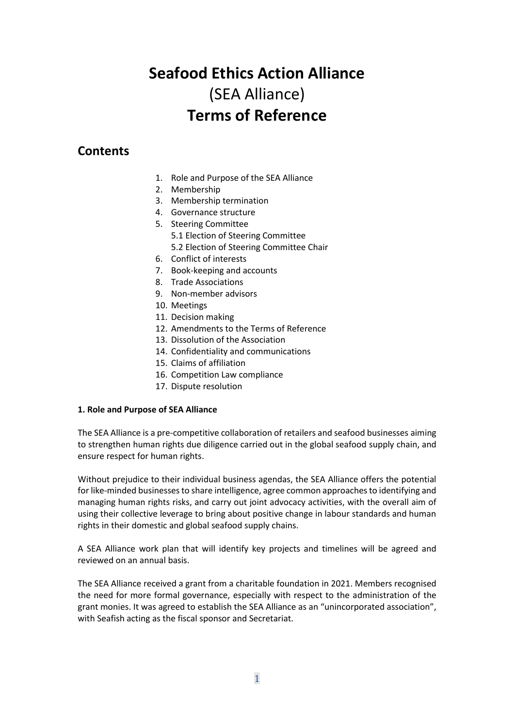# **Seafood Ethics Action Alliance** (SEA Alliance) **Terms of Reference**

# **Contents**

- 1. Role and Purpose of the SEA Alliance
- 2. Membership
- 3. Membership termination
- 4. Governance structure
- 5. Steering Committee
	- 5.1 Election of Steering Committee
	- 5.2 Election of Steering Committee Chair
- 6. Conflict of interests
- 7. Book-keeping and accounts
- 8. Trade Associations
- 9. Non-member advisors
- 10. Meetings
- 11. Decision making
- 12. Amendments to the Terms of Reference
- 13. Dissolution of the Association
- 14. Confidentiality and communications
- 15. Claims of affiliation
- 16. Competition Law compliance
- 17. Dispute resolution

#### **1. Role and Purpose of SEA Alliance**

The SEA Alliance is a pre-competitive collaboration of retailers and seafood businesses aiming to strengthen human rights due diligence carried out in the global seafood supply chain, and ensure respect for human rights.

Without prejudice to their individual business agendas, the SEA Alliance offers the potential for like-minded businesses to share intelligence, agree common approaches to identifying and managing human rights risks, and carry out joint advocacy activities, with the overall aim of using their collective leverage to bring about positive change in labour standards and human rights in their domestic and global seafood supply chains.

A SEA Alliance work plan that will identify key projects and timelines will be agreed and reviewed on an annual basis.

The SEA Alliance received a grant from a charitable foundation in 2021. Members recognised the need for more formal governance, especially with respect to the administration of the grant monies. It was agreed to establish the SEA Alliance as an "unincorporated association", with Seafish acting as the fiscal sponsor and Secretariat.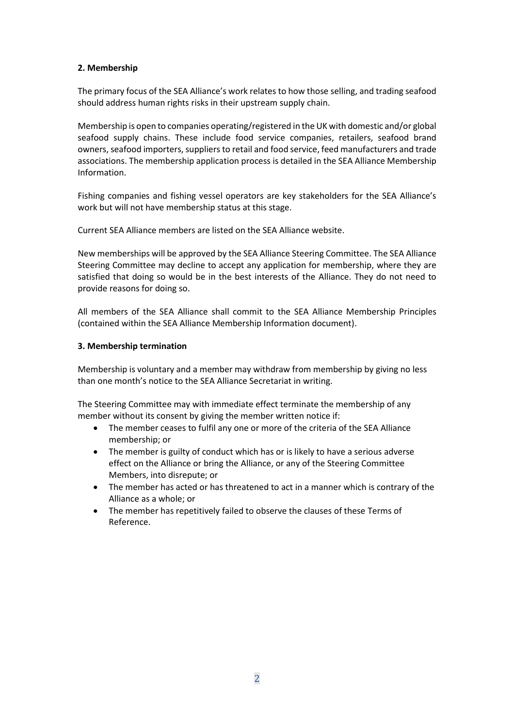# **2. Membership**

The primary focus of the SEA Alliance's work relates to how those selling, and trading seafood should address human rights risks in their upstream supply chain.

Membership is open to companies operating/registered in the UK with domestic and/or global seafood supply chains. These include food service companies, retailers, seafood brand owners, seafood importers, suppliers to retail and food service, feed manufacturers and trade associations. The membership application process is detailed in the SEA Alliance Membership Information.

Fishing companies and fishing vessel operators are key stakeholders for the SEA Alliance's work but will not have membership status at this stage.

Current SEA Alliance members are listed on the SEA Alliance website.

New memberships will be approved by the SEA Alliance Steering Committee. The SEA Alliance Steering Committee may decline to accept any application for membership, where they are satisfied that doing so would be in the best interests of the Alliance. They do not need to provide reasons for doing so.

All members of the SEA Alliance shall commit to the SEA Alliance Membership Principles (contained within the SEA Alliance Membership Information document).

# **3. Membership termination**

Membership is voluntary and a member may withdraw from membership by giving no less than one month's notice to the SEA Alliance Secretariat in writing.

The Steering Committee may with immediate effect terminate the membership of any member without its consent by giving the member written notice if:

- The member ceases to fulfil any one or more of the criteria of the SEA Alliance membership; or
- The member is guilty of conduct which has or is likely to have a serious adverse effect on the Alliance or bring the Alliance, or any of the Steering Committee Members, into disrepute; or
- The member has acted or has threatened to act in a manner which is contrary of the Alliance as a whole; or
- The member has repetitively failed to observe the clauses of these Terms of Reference.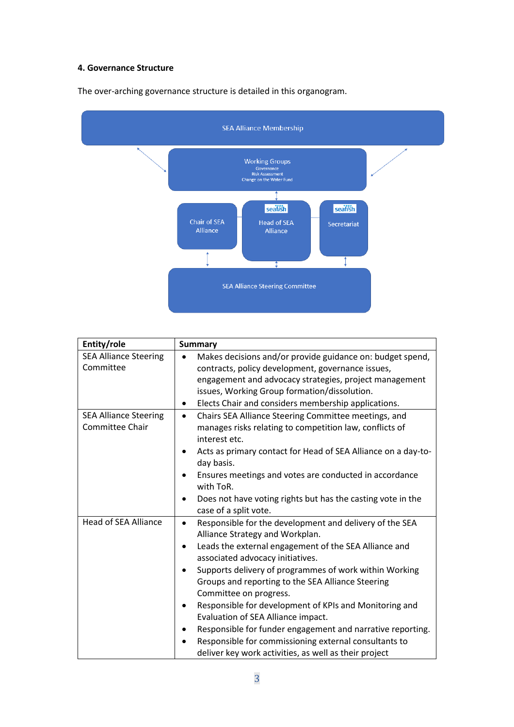#### **4. Governance Structure**



The over-arching governance structure is detailed in this organogram.

| Entity/role                  | <b>Summary</b>                                                         |
|------------------------------|------------------------------------------------------------------------|
| <b>SEA Alliance Steering</b> | Makes decisions and/or provide guidance on: budget spend,<br>$\bullet$ |
| Committee                    | contracts, policy development, governance issues,                      |
|                              | engagement and advocacy strategies, project management                 |
|                              | issues, Working Group formation/dissolution.                           |
|                              | Elects Chair and considers membership applications.<br>٠               |
| <b>SEA Alliance Steering</b> | Chairs SEA Alliance Steering Committee meetings, and<br>$\bullet$      |
| Committee Chair              | manages risks relating to competition law, conflicts of                |
|                              | interest etc.                                                          |
|                              | Acts as primary contact for Head of SEA Alliance on a day-to-          |
|                              | day basis.                                                             |
|                              | Ensures meetings and votes are conducted in accordance                 |
|                              | with ToR.                                                              |
|                              | Does not have voting rights but has the casting vote in the            |
|                              | case of a split vote.                                                  |
| <b>Head of SEA Alliance</b>  | Responsible for the development and delivery of the SEA<br>$\bullet$   |
|                              | Alliance Strategy and Workplan.                                        |
|                              | Leads the external engagement of the SEA Alliance and<br>٠             |
|                              | associated advocacy initiatives.                                       |
|                              | Supports delivery of programmes of work within Working                 |
|                              | Groups and reporting to the SEA Alliance Steering                      |
|                              | Committee on progress.                                                 |
|                              | Responsible for development of KPIs and Monitoring and                 |
|                              | Evaluation of SEA Alliance impact.                                     |
|                              | Responsible for funder engagement and narrative reporting.             |
|                              | Responsible for commissioning external consultants to                  |
|                              | deliver key work activities, as well as their project                  |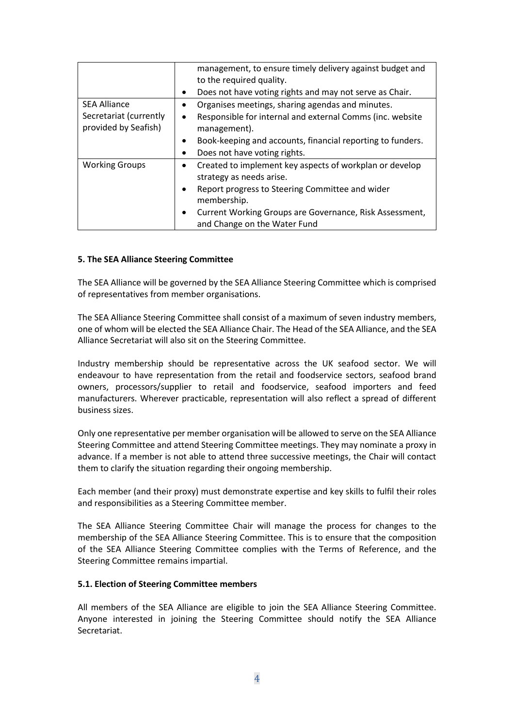|                        | management, to ensure timely delivery against budget and             |
|------------------------|----------------------------------------------------------------------|
|                        | to the required quality.                                             |
|                        | Does not have voting rights and may not serve as Chair.<br>$\bullet$ |
| <b>SEA Alliance</b>    | Organises meetings, sharing agendas and minutes.                     |
| Secretariat (currently | Responsible for internal and external Comms (inc. website<br>٠       |
| provided by Seafish)   | management).                                                         |
|                        | Book-keeping and accounts, financial reporting to funders.<br>٠      |
|                        | Does not have voting rights.                                         |
| <b>Working Groups</b>  | Created to implement key aspects of workplan or develop              |
|                        | strategy as needs arise.                                             |
|                        | Report progress to Steering Committee and wider<br>٠                 |
|                        | membership.                                                          |
|                        | Current Working Groups are Governance, Risk Assessment,<br>$\bullet$ |
|                        | and Change on the Water Fund                                         |

#### **5. The SEA Alliance Steering Committee**

The SEA Alliance will be governed by the SEA Alliance Steering Committee which is comprised of representatives from member organisations.

The SEA Alliance Steering Committee shall consist of a maximum of seven industry members, one of whom will be elected the SEA Alliance Chair. The Head of the SEA Alliance, and the SEA Alliance Secretariat will also sit on the Steering Committee.

Industry membership should be representative across the UK seafood sector. We will endeavour to have representation from the retail and foodservice sectors, seafood brand owners, processors/supplier to retail and foodservice, seafood importers and feed manufacturers. Wherever practicable, representation will also reflect a spread of different business sizes.

Only one representative per member organisation will be allowed to serve on the SEA Alliance Steering Committee and attend Steering Committee meetings. They may nominate a proxy in advance. If a member is not able to attend three successive meetings, the Chair will contact them to clarify the situation regarding their ongoing membership.

Each member (and their proxy) must demonstrate expertise and key skills to fulfil their roles and responsibilities as a Steering Committee member.

The SEA Alliance Steering Committee Chair will manage the process for changes to the membership of the SEA Alliance Steering Committee. This is to ensure that the composition of the SEA Alliance Steering Committee complies with the Terms of Reference, and the Steering Committee remains impartial.

#### **5.1. Election of Steering Committee members**

All members of the SEA Alliance are eligible to join the SEA Alliance Steering Committee. Anyone interested in joining the Steering Committee should notify the SEA Alliance Secretariat.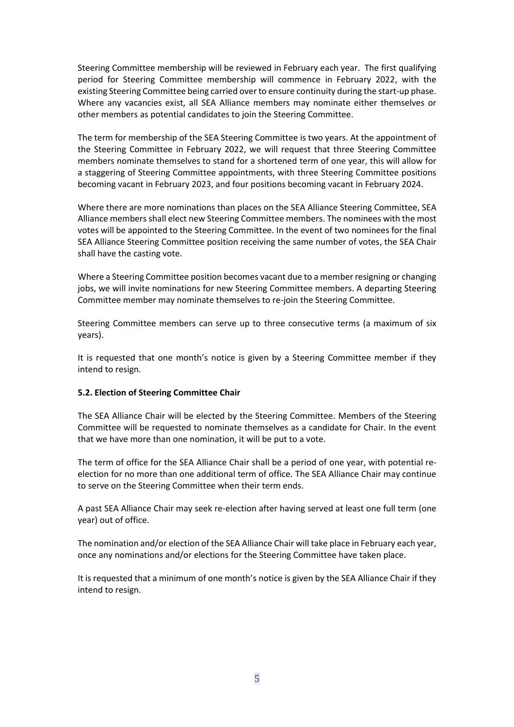Steering Committee membership will be reviewed in February each year. The first qualifying period for Steering Committee membership will commence in February 2022, with the existing Steering Committee being carried over to ensure continuity during the start-up phase. Where any vacancies exist, all SEA Alliance members may nominate either themselves or other members as potential candidates to join the Steering Committee.

The term for membership of the SEA Steering Committee is two years. At the appointment of the Steering Committee in February 2022, we will request that three Steering Committee members nominate themselves to stand for a shortened term of one year, this will allow for a staggering of Steering Committee appointments, with three Steering Committee positions becoming vacant in February 2023, and four positions becoming vacant in February 2024.

Where there are more nominations than places on the SEA Alliance Steering Committee, SEA Alliance members shall elect new Steering Committee members. The nominees with the most votes will be appointed to the Steering Committee. In the event of two nominees for the final SEA Alliance Steering Committee position receiving the same number of votes, the SEA Chair shall have the casting vote.

Where a Steering Committee position becomes vacant due to a member resigning or changing jobs, we will invite nominations for new Steering Committee members. A departing Steering Committee member may nominate themselves to re-join the Steering Committee.

Steering Committee members can serve up to three consecutive terms (a maximum of six years).

It is requested that one month's notice is given by a Steering Committee member if they intend to resign.

#### **5.2. Election of Steering Committee Chair**

The SEA Alliance Chair will be elected by the Steering Committee. Members of the Steering Committee will be requested to nominate themselves as a candidate for Chair. In the event that we have more than one nomination, it will be put to a vote.

The term of office for the SEA Alliance Chair shall be a period of one year, with potential reelection for no more than one additional term of office. The SEA Alliance Chair may continue to serve on the Steering Committee when their term ends.

A past SEA Alliance Chair may seek re-election after having served at least one full term (one year) out of office.

The nomination and/or election of the SEA Alliance Chair will take place in February each year, once any nominations and/or elections for the Steering Committee have taken place.

It is requested that a minimum of one month's notice is given by the SEA Alliance Chair if they intend to resign.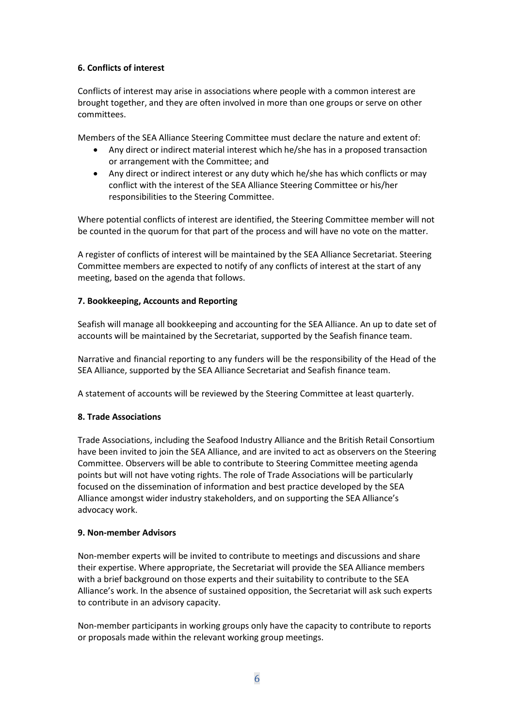# **6. Conflicts of interest**

Conflicts of interest may arise in associations where people with a common interest are brought together, and they are often involved in more than one groups or serve on other committees.

Members of the SEA Alliance Steering Committee must declare the nature and extent of:

- Any direct or indirect material interest which he/she has in a proposed transaction or arrangement with the Committee; and
- Any direct or indirect interest or any duty which he/she has which conflicts or may conflict with the interest of the SEA Alliance Steering Committee or his/her responsibilities to the Steering Committee.

Where potential conflicts of interest are identified, the Steering Committee member will not be counted in the quorum for that part of the process and will have no vote on the matter.

A register of conflicts of interest will be maintained by the SEA Alliance Secretariat. Steering Committee members are expected to notify of any conflicts of interest at the start of any meeting, based on the agenda that follows.

# **7. Bookkeeping, Accounts and Reporting**

Seafish will manage all bookkeeping and accounting for the SEA Alliance. An up to date set of accounts will be maintained by the Secretariat, supported by the Seafish finance team.

Narrative and financial reporting to any funders will be the responsibility of the Head of the SEA Alliance, supported by the SEA Alliance Secretariat and Seafish finance team.

A statement of accounts will be reviewed by the Steering Committee at least quarterly.

#### **8. Trade Associations**

Trade Associations, including the Seafood Industry Alliance and the British Retail Consortium have been invited to join the SEA Alliance, and are invited to act as observers on the Steering Committee. Observers will be able to contribute to Steering Committee meeting agenda points but will not have voting rights. The role of Trade Associations will be particularly focused on the dissemination of information and best practice developed by the SEA Alliance amongst wider industry stakeholders, and on supporting the SEA Alliance's advocacy work.

#### **9. Non-member Advisors**

Non-member experts will be invited to contribute to meetings and discussions and share their expertise. Where appropriate, the Secretariat will provide the SEA Alliance members with a brief background on those experts and their suitability to contribute to the SEA Alliance's work. In the absence of sustained opposition, the Secretariat will ask such experts to contribute in an advisory capacity.

Non-member participants in working groups only have the capacity to contribute to reports or proposals made within the relevant working group meetings.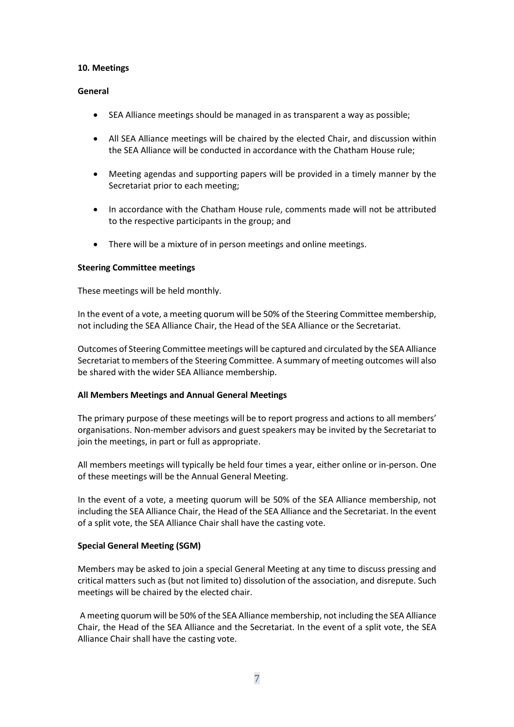#### **10. Meetings**

#### **General**

- SEA Alliance meetings should be managed in as transparent a way as possible;
- All SEA Alliance meetings will be chaired by the elected Chair, and discussion within the SEA Alliance will be conducted in accordance with the Chatham House rule;
- Meeting agendas and supporting papers will be provided in a timely manner by the Secretariat prior to each meeting;
- In accordance with the Chatham House rule, comments made will not be attributed to the respective participants in the group; and
- There will be a mixture of in person meetings and online meetings.

#### **Steering Committee meetings**

These meetings will be held monthly.

In the event of a vote, a meeting quorum will be 50% of the Steering Committee membership, not including the SEA Alliance Chair, the Head of the SEA Alliance or the Secretariat.

Outcomes of Steering Committee meetings will be captured and circulated by the SEA Alliance Secretariat to members of the Steering Committee. A summary of meeting outcomes will also be shared with the wider SEA Alliance membership.

#### **All Members Meetings and Annual General Meetings**

The primary purpose of these meetings will be to report progress and actions to all members' organisations. Non-member advisors and guest speakers may be invited by the Secretariat to join the meetings, in part or full as appropriate.

All members meetings will typically be held four times a year, either online or in-person. One of these meetings will be the Annual General Meeting.

In the event of a vote, a meeting quorum will be 50% of the SEA Alliance membership, not including the SEA Alliance Chair, the Head of the SEA Alliance and the Secretariat. In the event of a split vote, the SEA Alliance Chair shall have the casting vote.

#### **Special General Meeting (SGM)**

Members may be asked to join a special General Meeting at any time to discuss pressing and critical matters such as (but not limited to) dissolution of the association, and disrepute. Such meetings will be chaired by the elected chair.

A meeting quorum will be 50% of the SEA Alliance membership, not including the SEA Alliance Chair, the Head of the SEA Alliance and the Secretariat. In the event of a split vote, the SEA Alliance Chair shall have the casting vote.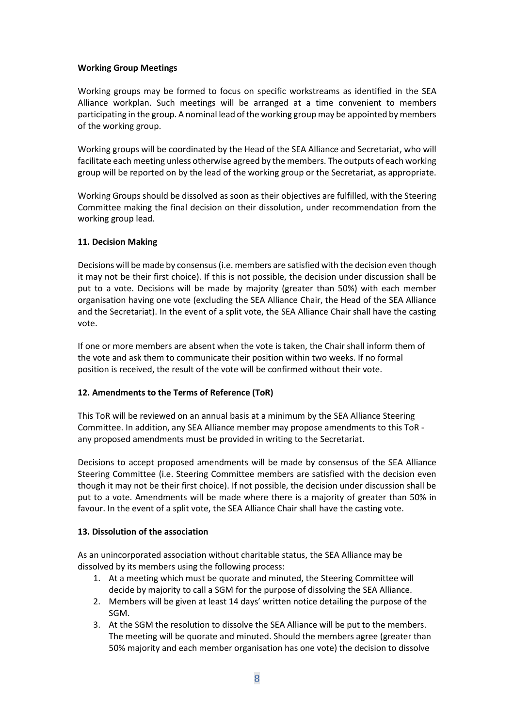#### **Working Group Meetings**

Working groups may be formed to focus on specific workstreams as identified in the SEA Alliance workplan. Such meetings will be arranged at a time convenient to members participating in the group. A nominal lead of the working group may be appointed by members of the working group.

Working groups will be coordinated by the Head of the SEA Alliance and Secretariat, who will facilitate each meeting unless otherwise agreed by the members. The outputs of each working group will be reported on by the lead of the working group or the Secretariat, as appropriate.

Working Groups should be dissolved as soon as their objectives are fulfilled, with the Steering Committee making the final decision on their dissolution, under recommendation from the working group lead.

# **11. Decision Making**

Decisions will be made by consensus (i.e. members are satisfied with the decision even though it may not be their first choice). If this is not possible, the decision under discussion shall be put to a vote. Decisions will be made by majority (greater than 50%) with each member organisation having one vote (excluding the SEA Alliance Chair, the Head of the SEA Alliance and the Secretariat). In the event of a split vote, the SEA Alliance Chair shall have the casting vote.

If one or more members are absent when the vote is taken, the Chair shall inform them of the vote and ask them to communicate their position within two weeks. If no formal position is received, the result of the vote will be confirmed without their vote.

# **12. Amendments to the Terms of Reference (ToR)**

This ToR will be reviewed on an annual basis at a minimum by the SEA Alliance Steering Committee. In addition, any SEA Alliance member may propose amendments to this ToR any proposed amendments must be provided in writing to the Secretariat.

Decisions to accept proposed amendments will be made by consensus of the SEA Alliance Steering Committee (i.e. Steering Committee members are satisfied with the decision even though it may not be their first choice). If not possible, the decision under discussion shall be put to a vote. Amendments will be made where there is a majority of greater than 50% in favour. In the event of a split vote, the SEA Alliance Chair shall have the casting vote.

# **13. Dissolution of the association**

As an unincorporated association without charitable status, the SEA Alliance may be dissolved by its members using the following process:

- 1. At a meeting which must be quorate and minuted, the Steering Committee will decide by majority to call a SGM for the purpose of dissolving the SEA Alliance.
- 2. Members will be given at least 14 days' written notice detailing the purpose of the SGM.
- 3. At the SGM the resolution to dissolve the SEA Alliance will be put to the members. The meeting will be quorate and minuted. Should the members agree (greater than 50% majority and each member organisation has one vote) the decision to dissolve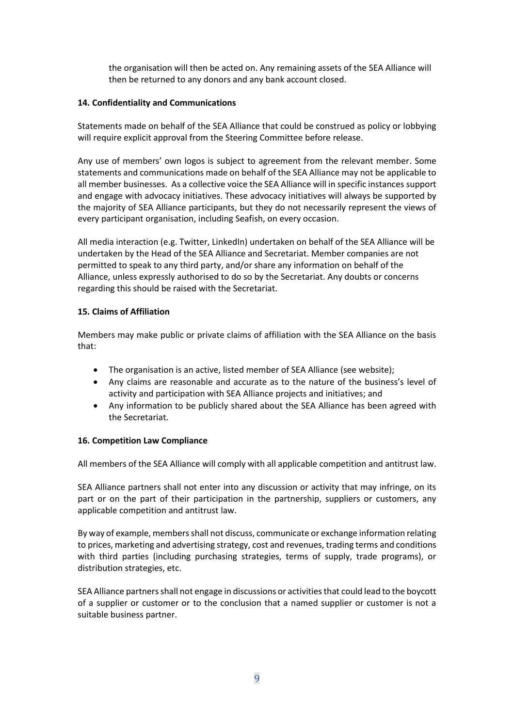the organisation will then be acted on. Any remaining assets of the SEA Alliance will then be returned to any donors and any bank account closed.

# **14. Confidentiality and Communications**

Statements made on behalf of the SEA Alliance that could be construed as policy or lobbying will require explicit approval from the Steering Committee before release.

Any use of members' own logos is subject to agreement from the relevant member. Some statements and communications made on behalf of the SEA Alliance may not be applicable to all member businesses. As a collective voice the SEA Alliance will in specific instances support and engage with advocacy initiatives. These advocacy initiatives will always be supported by the majority of SEA Alliance participants, but they do not necessarily represent the views of every participant organisation, including Seafish, on every occasion.

All media interaction (e.g. Twitter, LinkedIn) undertaken on behalf of the SEA Alliance will be undertaken by the Head of the SEA Alliance and Secretariat. Member companies are not permitted to speak to any third party, and/or share any information on behalf of the Alliance, unless expressly authorised to do so by the Secretariat. Any doubts or concerns regarding this should be raised with the Secretariat.

# **15. Claims of Affiliation**

Members may make public or private claims of affiliation with the SEA Alliance on the basis that:

- The organisation is an active, listed member of SEA Alliance (see website);
- Any claims are reasonable and accurate as to the nature of the business's level of activity and participation with SEA Alliance projects and initiatives; and
- Any information to be publicly shared about the SEA Alliance has been agreed with the Secretariat.

#### **16. Competition Law Compliance**

All members of the SEA Alliance will comply with all applicable competition and antitrust law.

SEA Alliance partners shall not enter into any discussion or activity that may infringe, on its part or on the part of their participation in the partnership, suppliers or customers, any applicable competition and antitrust law.

By way of example, members shall not discuss, communicate or exchange information relating to prices, marketing and advertising strategy, cost and revenues, trading terms and conditions with third parties (including purchasing strategies, terms of supply, trade programs), or distribution strategies, etc.

SEA Alliance partners shall not engage in discussions or activities that could lead to the boycott of a supplier or customer or to the conclusion that a named supplier or customer is not a suitable business partner.